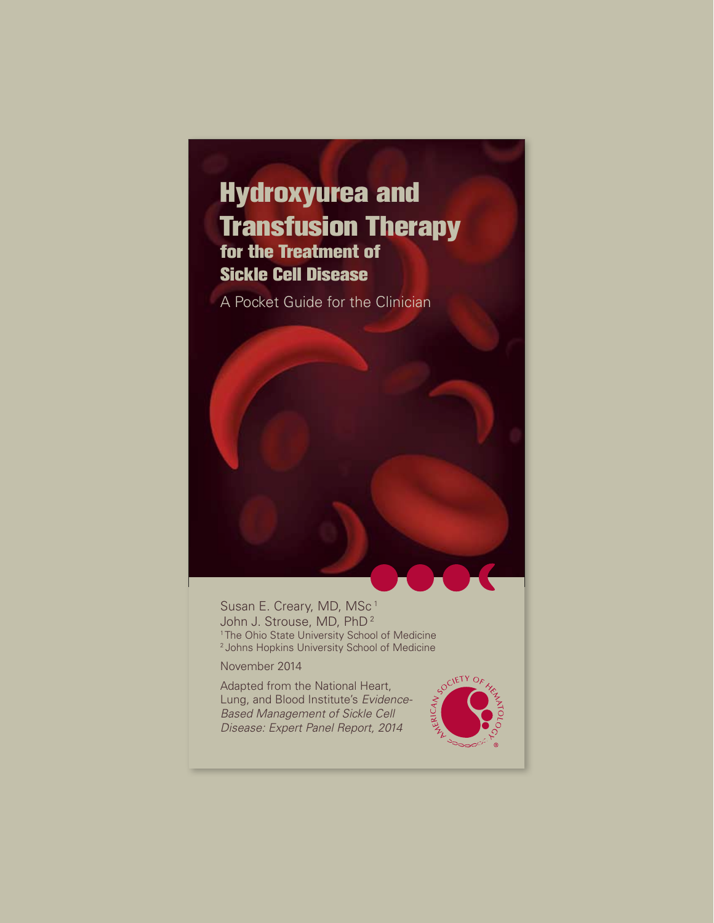# Hydroxyurea and Transfusion Therapy for the Treatment of Sickle Cell Disease

A Pocket Guide for the Clinician

Susan E. Creary, MD, MSc<sup>1</sup> John J. Strouse, MD, PhD<sup>2</sup> <sup>1</sup> The Ohio State University School of Medicine <sup>2</sup> Johns Hopkins University School of Medicine

November 2014

Adapted from the National Heart, Lung, and Blood Institute's *Evidence-Based Management of Sickle Cell Disease: Expert Panel Report, 2014*

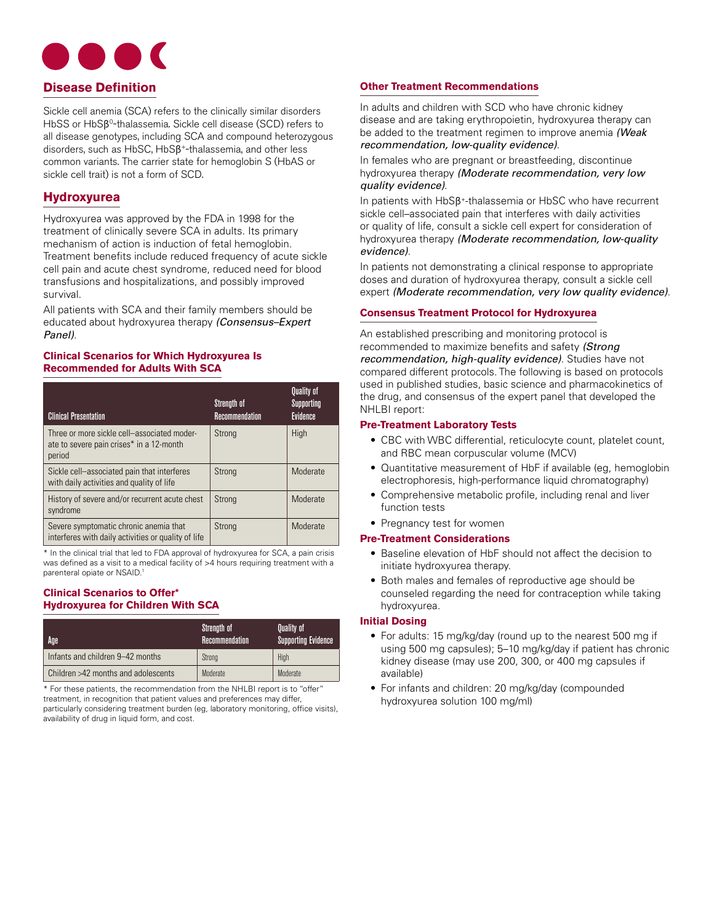

Sickle cell anemia (SCA) refers to the clinically similar disorders HbSS or HbSB<sup>0</sup>-thalassemia. Sickle cell disease (SCD) refers to all disease genotypes, including SCA and compound heterozygous disorders, such as HbSC, HbSβ+-thalassemia, and other less common variants. The carrier state for hemoglobin S (HbAS or sickle cell trait) is not a form of SCD.

# **Hydroxyurea**

Hydroxyurea was approved by the FDA in 1998 for the treatment of clinically severe SCA in adults. Its primary mechanism of action is induction of fetal hemoglobin. Treatment benefits include reduced frequency of acute sickle cell pain and acute chest syndrome, reduced need for blood transfusions and hospitalizations, and possibly improved survival.

All patients with SCA and their family members should be educated about hydroxyurea therapy *(Consensus–Expert Panel)*.

## **Clinical Scenarios for Which Hydroxyurea Is Recommended for Adults With SCA**

| <b>Clinical Presentation</b>                                                                      | Strength of<br>Recommendation | <b>Quality of</b><br>Supporting<br>Evidence |
|---------------------------------------------------------------------------------------------------|-------------------------------|---------------------------------------------|
| Three or more sickle cell-associated moder-<br>ate to severe pain crises* in a 12-month<br>period | Strong                        | High                                        |
| Sickle cell-associated pain that interferes<br>with daily activities and quality of life          | Strong                        | Moderate                                    |
| History of severe and/or recurrent acute chest<br>syndrome                                        | Strong                        | Moderate                                    |
| Severe symptomatic chronic anemia that<br>interferes with daily activities or quality of life     | Strong                        | Moderate                                    |

\* In the clinical trial that led to FDA approval of hydroxyurea for SCA, a pain crisis was defined as a visit to a medical facility of >4 hours requiring treatment with a parenteral opiate or NSAID.

## **Clinical Scenarios to Offer\* Hydroxyurea for Children With SCA**

| Age                                 | Strength of<br>Recommendation | <b>Quality of</b><br><b>Supporting Evidence</b> |
|-------------------------------------|-------------------------------|-------------------------------------------------|
| Infants and children 9-42 months    | Strong                        | High                                            |
| Children >42 months and adolescents | Moderate                      | Moderate                                        |

\* For these patients, the recommendation from the NHLBI report is to "offer" treatment, in recognition that patient values and preferences may differ, particularly considering treatment burden (eg, laboratory monitoring, office visits), availability of drug in liquid form, and cost.

## **Other Treatment Recommendations**

In adults and children with SCD who have chronic kidney disease and are taking erythropoietin, hydroxyurea therapy can be added to the treatment regimen to improve anemia *(Weak recommendation, low-quality evidence)*.

In females who are pregnant or breastfeeding, discontinue hydroxyurea therapy *(Moderate recommendation, very low quality evidence)*.

In patients with HbSβ+-thalassemia or HbSC who have recurrent sickle cell–associated pain that interferes with daily activities or quality of life, consult a sickle cell expert for consideration of hydroxyurea therapy *(Moderate recommendation, low-quality evidence)*.

In patients not demonstrating a clinical response to appropriate doses and duration of hydroxyurea therapy, consult a sickle cell expert *(Moderate recommendation, very low quality evidence)*.

## **Consensus Treatment Protocol for Hydroxyurea**

An established prescribing and monitoring protocol is recommended to maximize benefits and safety *(Strong recommendation, high-quality evidence)*. Studies have not compared different protocols. The following is based on protocols used in published studies, basic science and pharmacokinetics of the drug, and consensus of the expert panel that developed the NHLBI report:

## **Pre-Treatment Laboratory Tests**

- • CBC with WBC differential, reticulocyte count, platelet count, and RBC mean corpuscular volume (MCV)
- Quantitative measurement of HbF if available (eg, hemoglobin electrophoresis, high-performance liquid chromatography)
- Comprehensive metabolic profile, including renal and liver function tests
- Pregnancy test for women

## **Pre-Treatment Considerations**

- Baseline elevation of HbF should not affect the decision to initiate hydroxyurea therapy.
- Both males and females of reproductive age should be counseled regarding the need for contraception while taking hydroxyurea.

## **Initial Dosing**

- For adults: 15 mg/kg/day (round up to the nearest 500 mg if using 500 mg capsules); 5–10 mg/kg/day if patient has chronic kidney disease (may use 200, 300, or 400 mg capsules if available)
- For infants and children: 20 mg/kg/day (compounded hydroxyurea solution 100 mg/ml)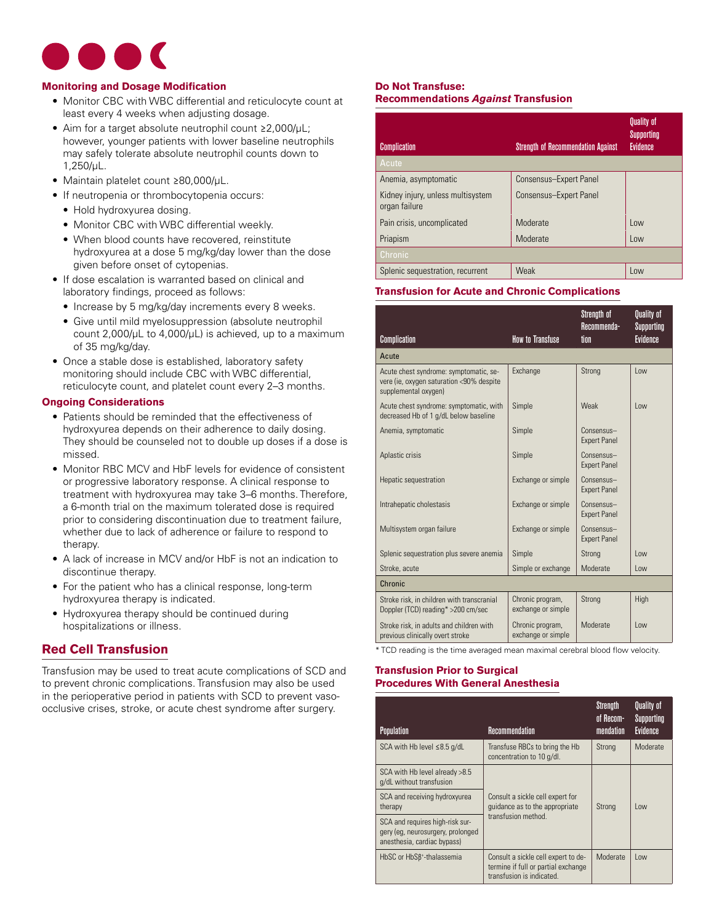

## **Monitoring and Dosage Modification**

- Monitor CBC with WBC differential and reticulocyte count at least every 4 weeks when adjusting dosage.
- • Aim for a target absolute neutrophil count ≥2,000/µL; however, younger patients with lower baseline neutrophils may safely tolerate absolute neutrophil counts down to 1,250/µL.
- • Maintain platelet count ≥80,000/µL.
- If neutropenia or thrombocytopenia occurs:
	- Hold hydroxyurea dosing.
	- Monitor CBC with WBC differential weekly.
	- When blood counts have recovered, reinstitute hydroxyurea at a dose 5 mg/kg/day lower than the dose given before onset of cytopenias.
- If dose escalation is warranted based on clinical and laboratory findings, proceed as follows:
	- Increase by 5 mg/kg/day increments every 8 weeks.
	- Give until mild myelosuppression (absolute neutrophil count  $2,000/\mu L$  to  $4,000/\mu L$ ) is achieved, up to a maximum of 35 mg/kg/day.
- Once a stable dose is established, laboratory safety monitoring should include CBC with WBC differential, reticulocyte count, and platelet count every 2–3 months.

## **Ongoing Considerations**

- Patients should be reminded that the effectiveness of hydroxyurea depends on their adherence to daily dosing. They should be counseled not to double up doses if a dose is missed.
- Monitor RBC MCV and HbF levels for evidence of consistent or progressive laboratory response. A clinical response to treatment with hydroxyurea may take 3–6 months. Therefore, a 6-month trial on the maximum tolerated dose is required prior to considering discontinuation due to treatment failure, whether due to lack of adherence or failure to respond to therapy.
- A lack of increase in MCV and/or HbF is not an indication to discontinue therapy.
- For the patient who has a clinical response, long-term hydroxyurea therapy is indicated.
- Hydroxyurea therapy should be continued during hospitalizations or illness.

## **Red Cell Transfusion**

Transfusion may be used to treat acute complications of SCD and to prevent chronic complications. Transfusion may also be used in the perioperative period in patients with SCD to prevent vasoocclusive crises, stroke, or acute chest syndrome after surgery.

## **Do Not Transfuse:**

## **Recommendations** *Against* **Transfusion**

| <b>Complication</b>                                | <b>Strength of Recommendation Against</b> | <b>Quality of</b><br>Supporting<br><b>Evidence</b> |
|----------------------------------------------------|-------------------------------------------|----------------------------------------------------|
| Acute                                              |                                           |                                                    |
| Anemia, asymptomatic                               | Consensus-Expert Panel                    |                                                    |
| Kidney injury, unless multisystem<br>organ failure | Consensus-Expert Panel                    |                                                    |
| Pain crisis, uncomplicated                         | Moderate                                  | $\log$                                             |
| Priapism                                           | Moderate                                  | Low                                                |
| Chronic                                            |                                           |                                                    |
| Splenic sequestration, recurrent                   | Weak                                      | Low                                                |

## **Transfusion for Acute and Chronic Complications**

|                                                                                                            |                                        | Strength of<br>Recommenda-           | <b>Quality of</b><br>Supporting |
|------------------------------------------------------------------------------------------------------------|----------------------------------------|--------------------------------------|---------------------------------|
| Complication                                                                                               | <b>How to Transfuse</b>                | tion                                 | <b>Evidence</b>                 |
| Acute                                                                                                      |                                        |                                      |                                 |
| Acute chest syndrome: symptomatic, se-<br>vere (ie, oxygen saturation <90% despite<br>supplemental oxygen) | Exchange                               | Strong                               | l ow                            |
| Acute chest syndrome: symptomatic, with<br>decreased Hb of 1 g/dL below baseline                           | Simple                                 | Weak                                 | low                             |
| Anemia, symptomatic                                                                                        | Simple                                 | $Consensus -$<br><b>Expert Panel</b> |                                 |
| Aplastic crisis                                                                                            | Simple                                 | Consensus-<br><b>Expert Panel</b>    |                                 |
| Hepatic sequestration                                                                                      | Exchange or simple                     | Consensus-<br><b>Expert Panel</b>    |                                 |
| Intrahepatic cholestasis                                                                                   | Exchange or simple                     | Consensus-<br><b>Expert Panel</b>    |                                 |
| Multisystem organ failure                                                                                  | Exchange or simple                     | Consensus-<br><b>Expert Panel</b>    |                                 |
| Splenic sequestration plus severe anemia                                                                   | Simple                                 | Strong                               | Imu                             |
| Stroke, acute                                                                                              | Simple or exchange                     | Moderate                             | low                             |
| Chronic                                                                                                    |                                        |                                      |                                 |
| Stroke risk, in children with transcranial<br>Doppler (TCD) reading* >200 cm/sec                           | Chronic program,<br>exchange or simple | Strong                               | High                            |
| Stroke risk, in adults and children with<br>previous clinically overt stroke                               | Chronic program,<br>exchange or simple | Moderate                             | low                             |

\* TCD reading is the time averaged mean maximal cerebral blood flow velocity.

## **Transfusion Prior to Surgical Procedures With General Anesthesia**

| <b>Population</b>                                                                                   | Recommendation                                                                                          | Strenath<br>of Recom-<br>mendation | Quality of<br>Supporting<br>Evidence |
|-----------------------------------------------------------------------------------------------------|---------------------------------------------------------------------------------------------------------|------------------------------------|--------------------------------------|
| SCA with Hb level $\leq 8.5$ g/dL                                                                   | Transfuse RBCs to bring the Hb<br>concentration to 10 g/dl.                                             | Strong                             | Moderate                             |
| SCA with Hb level already >8.5<br>g/dL without transfusion                                          |                                                                                                         |                                    |                                      |
| SCA and receiving hydroxyurea<br>therapy                                                            | Consult a sickle cell expert for<br>quidance as to the appropriate                                      | Strong                             | lmn                                  |
| SCA and requires high-risk sur-<br>gery (eg, neurosurgery, prolonged<br>anesthesia, cardiac bypass) | transfusion method.                                                                                     |                                    |                                      |
| HbSC or HbSß <sup>+</sup> -thalassemia                                                              | Consult a sickle cell expert to de-<br>termine if full or partial exchange<br>transfusion is indicated. | Moderate                           | lmn                                  |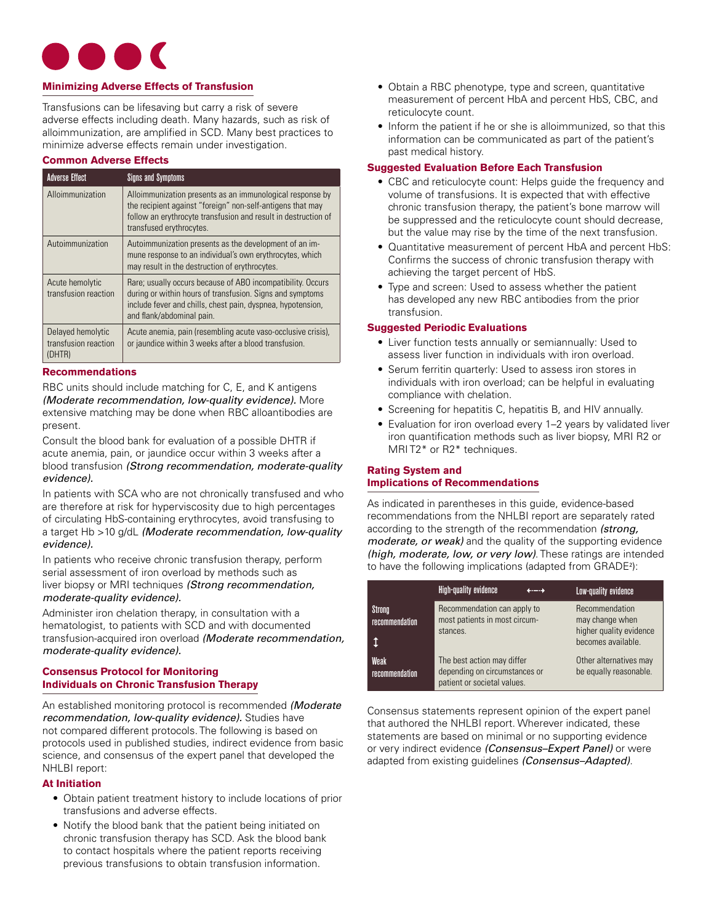

## **Minimizing Adverse Effects of Transfusion**

Transfusions can be lifesaving but carry a risk of severe adverse effects including death. Many hazards, such as risk of alloimmunization, are amplified in SCD. Many best practices to minimize adverse effects remain under investigation.

## **Common Adverse Effects**

|                                              | <b>Adverse Effect</b>                               | Signs and Symptoms                                                                                                                                                                                                   |
|----------------------------------------------|-----------------------------------------------------|----------------------------------------------------------------------------------------------------------------------------------------------------------------------------------------------------------------------|
| Alloimmunization<br>transfused erythrocytes. |                                                     | Alloimmunization presents as an immunological response by<br>the recipient against "foreign" non-self-antigens that may<br>follow an erythrocyte transfusion and result in destruction of                            |
|                                              | Autoimmunization                                    | Autoimmunization presents as the development of an im-<br>mune response to an individual's own erythrocytes, which<br>may result in the destruction of erythrocytes.                                                 |
|                                              | Acute hemolytic<br>transfusion reaction             | Rare; usually occurs because of ABO incompatibility. Occurs<br>during or within hours of transfusion. Signs and symptoms<br>include fever and chills, chest pain, dyspnea, hypotension,<br>and flank/abdominal pain. |
|                                              | Delayed hemolytic<br>transfusion reaction<br>(DHTR) | Acute anemia, pain (resembling acute vaso-occlusive crisis),<br>or jaundice within 3 weeks after a blood transfusion.                                                                                                |

## **Recommendations**

RBC units should include matching for C, E, and K antigens *(Moderate recommendation, low-quality evidence).* More extensive matching may be done when RBC alloantibodies are present.

Consult the blood bank for evaluation of a possible DHTR if acute anemia, pain, or jaundice occur within 3 weeks after a blood transfusion *(Strong recommendation, moderate-quality evidence).* 

In patients with SCA who are not chronically transfused and who are therefore at risk for hyperviscosity due to high percentages of circulating HbS-containing erythrocytes, avoid transfusing to a target Hb >10 g/dL *(Moderate recommendation, low-quality evidence).* 

In patients who receive chronic transfusion therapy, perform serial assessment of iron overload by methods such as liver biopsy or MRI techniques *(Strong recommendation, moderate-quality evidence).* 

Administer iron chelation therapy, in consultation with a hematologist, to patients with SCD and with documented transfusion-acquired iron overload *(Moderate recommendation, moderate-quality evidence).* 

## **Consensus Protocol for Monitoring Individuals on Chronic Transfusion Therapy**

An established monitoring protocol is recommended *(Moderate recommendation, low-quality evidence).* Studies have not compared different protocols. The following is based on protocols used in published studies, indirect evidence from basic science, and consensus of the expert panel that developed the NHLBI report:

## **At Initiation**

- Obtain patient treatment history to include locations of prior transfusions and adverse effects.
- Notify the blood bank that the patient being initiated on chronic transfusion therapy has SCD. Ask the blood bank to contact hospitals where the patient reports receiving previous transfusions to obtain transfusion information.
- Obtain a RBC phenotype, type and screen, quantitative measurement of percent HbA and percent HbS, CBC, and reticulocyte count.
- Inform the patient if he or she is alloimmunized, so that this information can be communicated as part of the patient's past medical history.

## **Suggested Evaluation Before Each Transfusion**

- CBC and reticulocyte count: Helps guide the frequency and volume of transfusions. It is expected that with effective chronic transfusion therapy, the patient's bone marrow will be suppressed and the reticulocyte count should decrease, but the value may rise by the time of the next transfusion.
- Quantitative measurement of percent HbA and percent HbS: Confirms the success of chronic transfusion therapy with achieving the target percent of HbS.
- Type and screen: Used to assess whether the patient has developed any new RBC antibodies from the prior transfusion.

## **Suggested Periodic Evaluations**

- Liver function tests annually or semiannually: Used to assess liver function in individuals with iron overload.
- Serum ferritin quarterly: Used to assess iron stores in individuals with iron overload; can be helpful in evaluating compliance with chelation.
- **•** Screening for hepatitis C, hepatitis B, and HIV annually.
- Evaluation for iron overload every 1–2 years by validated liver iron quantification methods such as liver biopsy, MRI R2 or MRI T2\* or R2\* techniques.

# **Rating System and Implications of Recommendations**

As indicated in parentheses in this guide, evidence-based recommendations from the NHLBI report are separately rated according to the strength of the recommendation *(strong, moderate, or weak)* and the quality of the supporting evidence *(high, moderate, low, or very low)*. These ratings are intended to have the following implications (adapted from GRADE<sup>2</sup> ):

|                          | High-quality evidence                                                                      | –—⊣ | Low-quality evidence                                                               |
|--------------------------|--------------------------------------------------------------------------------------------|-----|------------------------------------------------------------------------------------|
| Strong<br>recommendation | Recommendation can apply to<br>most patients in most circum-<br>stances.                   |     | Recommendation<br>may change when<br>higher quality evidence<br>becomes available. |
| Weak<br>recommendation   | The best action may differ<br>depending on circumstances or<br>patient or societal values. |     | Other alternatives may<br>be equally reasonable.                                   |

Consensus statements represent opinion of the expert panel that authored the NHLBI report. Wherever indicated, these statements are based on minimal or no supporting evidence or very indirect evidence *(Consensus–Expert Panel)* or were adapted from existing guidelines *(Consensus–Adapted)*.